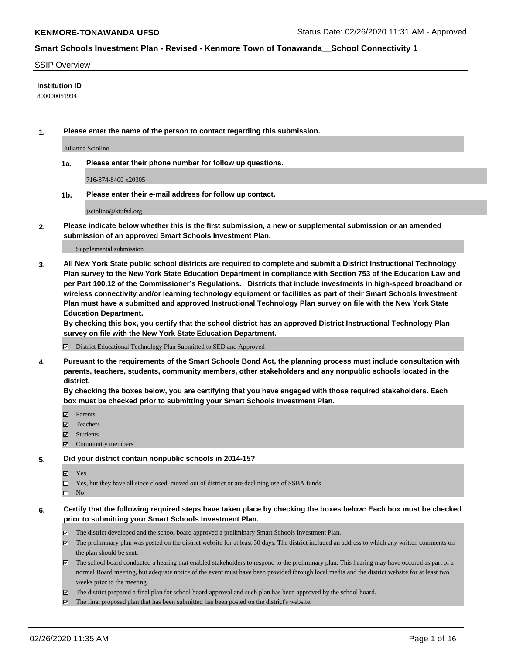#### SSIP Overview

#### **Institution ID**

800000051994

**1. Please enter the name of the person to contact regarding this submission.**

Julianna Sciolino

**1a. Please enter their phone number for follow up questions.**

716-874-8400 x20305

**1b. Please enter their e-mail address for follow up contact.**

jsciolino@ktufsd.org

**2. Please indicate below whether this is the first submission, a new or supplemental submission or an amended submission of an approved Smart Schools Investment Plan.**

#### Supplemental submission

**3. All New York State public school districts are required to complete and submit a District Instructional Technology Plan survey to the New York State Education Department in compliance with Section 753 of the Education Law and per Part 100.12 of the Commissioner's Regulations. Districts that include investments in high-speed broadband or wireless connectivity and/or learning technology equipment or facilities as part of their Smart Schools Investment Plan must have a submitted and approved Instructional Technology Plan survey on file with the New York State Education Department.** 

**By checking this box, you certify that the school district has an approved District Instructional Technology Plan survey on file with the New York State Education Department.**

District Educational Technology Plan Submitted to SED and Approved

**4. Pursuant to the requirements of the Smart Schools Bond Act, the planning process must include consultation with parents, teachers, students, community members, other stakeholders and any nonpublic schools located in the district.** 

**By checking the boxes below, you are certifying that you have engaged with those required stakeholders. Each box must be checked prior to submitting your Smart Schools Investment Plan.**

- **マ** Parents
- Teachers
- Students
- Community members

#### **5. Did your district contain nonpublic schools in 2014-15?**

**冈** Yes

Yes, but they have all since closed, moved out of district or are declining use of SSBA funds

 $\square$  No

- **6. Certify that the following required steps have taken place by checking the boxes below: Each box must be checked prior to submitting your Smart Schools Investment Plan.**
	- The district developed and the school board approved a preliminary Smart Schools Investment Plan.
	- $\boxtimes$  The preliminary plan was posted on the district website for at least 30 days. The district included an address to which any written comments on the plan should be sent.
	- $\boxtimes$  The school board conducted a hearing that enabled stakeholders to respond to the preliminary plan. This hearing may have occured as part of a normal Board meeting, but adequate notice of the event must have been provided through local media and the district website for at least two weeks prior to the meeting.
	- The district prepared a final plan for school board approval and such plan has been approved by the school board.
	- The final proposed plan that has been submitted has been posted on the district's website.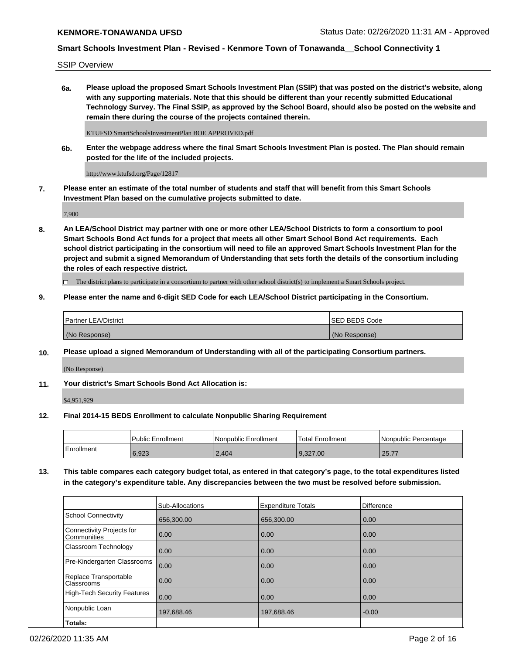SSIP Overview

**6a. Please upload the proposed Smart Schools Investment Plan (SSIP) that was posted on the district's website, along with any supporting materials. Note that this should be different than your recently submitted Educational Technology Survey. The Final SSIP, as approved by the School Board, should also be posted on the website and remain there during the course of the projects contained therein.**

KTUFSD SmartSchoolsInvestmentPlan BOE APPROVED.pdf

**6b. Enter the webpage address where the final Smart Schools Investment Plan is posted. The Plan should remain posted for the life of the included projects.**

http://www.ktufsd.org/Page/12817

**7. Please enter an estimate of the total number of students and staff that will benefit from this Smart Schools Investment Plan based on the cumulative projects submitted to date.**

7,900

**8. An LEA/School District may partner with one or more other LEA/School Districts to form a consortium to pool Smart Schools Bond Act funds for a project that meets all other Smart School Bond Act requirements. Each school district participating in the consortium will need to file an approved Smart Schools Investment Plan for the project and submit a signed Memorandum of Understanding that sets forth the details of the consortium including the roles of each respective district.**

 $\Box$  The district plans to participate in a consortium to partner with other school district(s) to implement a Smart Schools project.

## **9. Please enter the name and 6-digit SED Code for each LEA/School District participating in the Consortium.**

|               | Partner LEA/District | <b>ISED BEDS Code</b> |
|---------------|----------------------|-----------------------|
| (No Response) |                      | (No Response)         |

## **10. Please upload a signed Memorandum of Understanding with all of the participating Consortium partners.**

(No Response)

## **11. Your district's Smart Schools Bond Act Allocation is:**

\$4,951,929

## **12. Final 2014-15 BEDS Enrollment to calculate Nonpublic Sharing Requirement**

|            | Public Enrollment | Nonpublic Enrollment | Total Enrollment | I Nonpublic Percentage |
|------------|-------------------|----------------------|------------------|------------------------|
| Enrollment | 6.923             | 2,404                | 9.327.00         | 25.77                  |

**13. This table compares each category budget total, as entered in that category's page, to the total expenditures listed in the category's expenditure table. Any discrepancies between the two must be resolved before submission.**

|                                          | <b>Sub-Allocations</b> | <b>Expenditure Totals</b> | Difference |
|------------------------------------------|------------------------|---------------------------|------------|
| <b>School Connectivity</b>               | 656,300.00             | 656,300.00                | 0.00       |
| Connectivity Projects for<br>Communities | 0.00                   | 0.00                      | 0.00       |
| Classroom Technology                     | 0.00                   | 0.00                      | 0.00       |
| Pre-Kindergarten Classrooms              | 0.00                   | 0.00                      | 0.00       |
| Replace Transportable<br>Classrooms      | 0.00                   | 0.00                      | 0.00       |
| <b>High-Tech Security Features</b>       | 0.00                   | 0.00                      | 0.00       |
| Nonpublic Loan                           | 197,688.46             | 197,688.46                | $-0.00$    |
| Totals:                                  |                        |                           |            |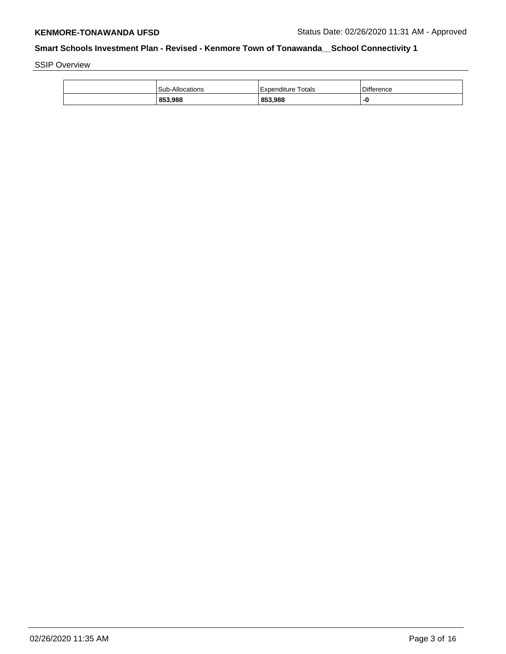SSIP Overview

| 853,988                | 853,988            | -0                |
|------------------------|--------------------|-------------------|
| <b>Sub-Allocations</b> | Expenditure Totals | <b>Difference</b> |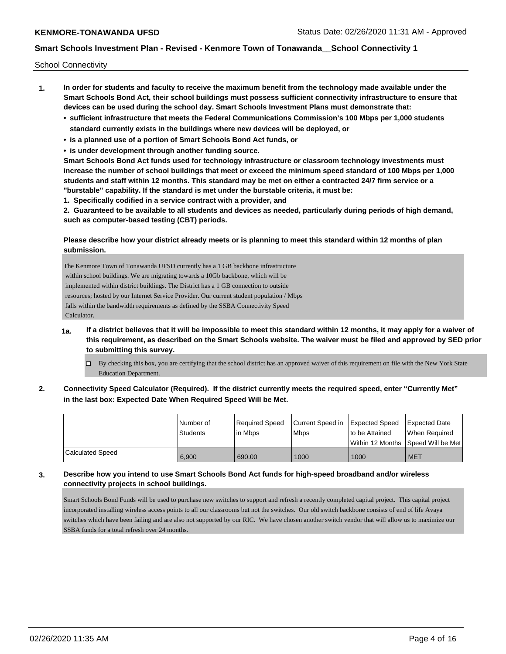School Connectivity

- **1. In order for students and faculty to receive the maximum benefit from the technology made available under the Smart Schools Bond Act, their school buildings must possess sufficient connectivity infrastructure to ensure that devices can be used during the school day. Smart Schools Investment Plans must demonstrate that:**
	- **• sufficient infrastructure that meets the Federal Communications Commission's 100 Mbps per 1,000 students standard currently exists in the buildings where new devices will be deployed, or**
	- **• is a planned use of a portion of Smart Schools Bond Act funds, or**
	- **• is under development through another funding source.**

**Smart Schools Bond Act funds used for technology infrastructure or classroom technology investments must increase the number of school buildings that meet or exceed the minimum speed standard of 100 Mbps per 1,000 students and staff within 12 months. This standard may be met on either a contracted 24/7 firm service or a "burstable" capability. If the standard is met under the burstable criteria, it must be:**

**1. Specifically codified in a service contract with a provider, and**

**2. Guaranteed to be available to all students and devices as needed, particularly during periods of high demand, such as computer-based testing (CBT) periods.**

## **Please describe how your district already meets or is planning to meet this standard within 12 months of plan submission.**

The Kenmore Town of Tonawanda UFSD currently has a 1 GB backbone infrastructure within school buildings. We are migrating towards a 10Gb backbone, which will be implemented within district buildings. The District has a 1 GB connection to outside resources; hosted by our Internet Service Provider. Our current student population / Mbps falls within the bandwidth requirements as defined by the SSBA Connectivity Speed Calculator.

- **1a. If a district believes that it will be impossible to meet this standard within 12 months, it may apply for a waiver of this requirement, as described on the Smart Schools website. The waiver must be filed and approved by SED prior to submitting this survey.**
	- $\Box$  By checking this box, you are certifying that the school district has an approved waiver of this requirement on file with the New York State Education Department.
- **2. Connectivity Speed Calculator (Required). If the district currently meets the required speed, enter "Currently Met" in the last box: Expected Date When Required Speed Will be Met.**

|                  | l Number of<br>Students | Required Speed<br>lin Mbps | Current Speed in Expected Speed<br><b>Mbps</b> | to be Attained | Expected Date<br>When Reauired       |
|------------------|-------------------------|----------------------------|------------------------------------------------|----------------|--------------------------------------|
|                  |                         |                            |                                                |                | Within 12 Months 1Speed Will be Met1 |
| Calculated Speed | 6,900                   | 690.00                     | 1000                                           | 1000           | <b>MET</b>                           |

# **3. Describe how you intend to use Smart Schools Bond Act funds for high-speed broadband and/or wireless connectivity projects in school buildings.**

Smart Schools Bond Funds will be used to purchase new switches to support and refresh a recently completed capital project. This capital project incorporated installing wireless access points to all our classrooms but not the switches. Our old switch backbone consists of end of life Avaya switches which have been failing and are also not supported by our RIC. We have chosen another switch vendor that will allow us to maximize our SSBA funds for a total refresh over 24 months.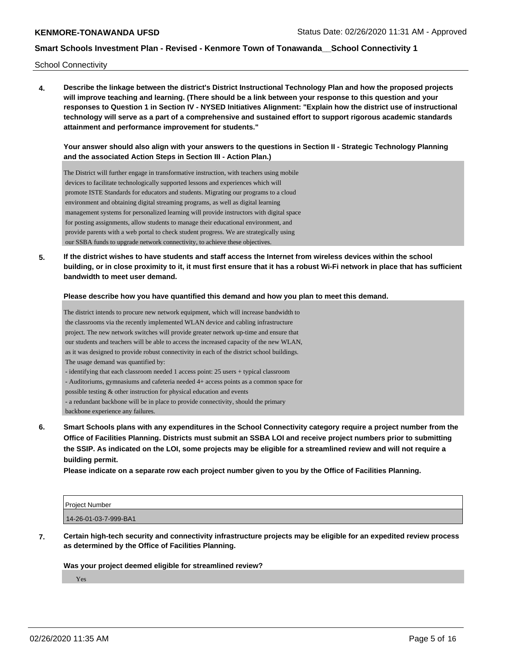School Connectivity

**4. Describe the linkage between the district's District Instructional Technology Plan and how the proposed projects will improve teaching and learning. (There should be a link between your response to this question and your responses to Question 1 in Section IV - NYSED Initiatives Alignment: "Explain how the district use of instructional technology will serve as a part of a comprehensive and sustained effort to support rigorous academic standards attainment and performance improvement for students."** 

**Your answer should also align with your answers to the questions in Section II - Strategic Technology Planning and the associated Action Steps in Section III - Action Plan.)**

The District will further engage in transformative instruction, with teachers using mobile devices to facilitate technologically supported lessons and experiences which will promote ISTE Standards for educators and students. Migrating our programs to a cloud environment and obtaining digital streaming programs, as well as digital learning management systems for personalized learning will provide instructors with digital space for posting assignments, allow students to manage their educational environment, and provide parents with a web portal to check student progress. We are strategically using our SSBA funds to upgrade network connectivity, to achieve these objectives.

**5. If the district wishes to have students and staff access the Internet from wireless devices within the school building, or in close proximity to it, it must first ensure that it has a robust Wi-Fi network in place that has sufficient bandwidth to meet user demand.**

#### **Please describe how you have quantified this demand and how you plan to meet this demand.**

The district intends to procure new network equipment, which will increase bandwidth to the classrooms via the recently implemented WLAN device and cabling infrastructure project. The new network switches will provide greater network up-time and ensure that our students and teachers will be able to access the increased capacity of the new WLAN, as it was designed to provide robust connectivity in each of the district school buildings. The usage demand was quantified by: - identifying that each classroom needed 1 access point: 25 users + typical classroom - Auditoriums, gymnasiums and cafeteria needed 4+ access points as a common space for possible testing & other instruction for physical education and events - a redundant backbone will be in place to provide connectivity, should the primary backbone experience any failures.

**6. Smart Schools plans with any expenditures in the School Connectivity category require a project number from the Office of Facilities Planning. Districts must submit an SSBA LOI and receive project numbers prior to submitting the SSIP. As indicated on the LOI, some projects may be eligible for a streamlined review and will not require a building permit.**

**Please indicate on a separate row each project number given to you by the Office of Facilities Planning.**

| Project Number        |  |
|-----------------------|--|
| 14-26-01-03-7-999-BA1 |  |

**7. Certain high-tech security and connectivity infrastructure projects may be eligible for an expedited review process as determined by the Office of Facilities Planning.**

#### **Was your project deemed eligible for streamlined review?**

Yes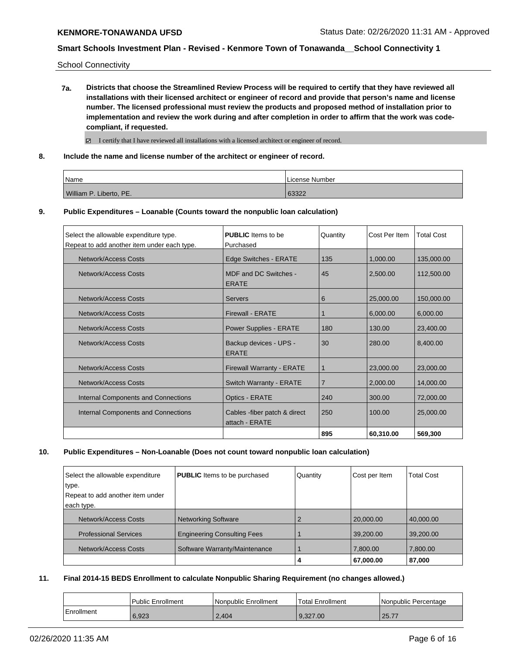School Connectivity

**7a. Districts that choose the Streamlined Review Process will be required to certify that they have reviewed all installations with their licensed architect or engineer of record and provide that person's name and license number. The licensed professional must review the products and proposed method of installation prior to implementation and review the work during and after completion in order to affirm that the work was codecompliant, if requested.**

 $\boxtimes$  I certify that I have reviewed all installations with a licensed architect or engineer of record.

**8. Include the name and license number of the architect or engineer of record.**

| <i>Name</i>             | License Number |
|-------------------------|----------------|
| William P. Liberto, PE. | 63322          |

**9. Public Expenditures – Loanable (Counts toward the nonpublic loan calculation)**

| Select the allowable expenditure type.<br>Repeat to add another item under each type. | <b>PUBLIC</b> Items to be<br>Purchased          | Quantity       | Cost Per Item | <b>Total Cost</b> |
|---------------------------------------------------------------------------------------|-------------------------------------------------|----------------|---------------|-------------------|
| <b>Network/Access Costs</b>                                                           | Edge Switches - ERATE                           | 135            | 1,000.00      | 135,000.00        |
| Network/Access Costs                                                                  | MDF and DC Switches -<br><b>ERATE</b>           | 45             | 2,500.00      | 112,500.00        |
| <b>Network/Access Costs</b>                                                           | <b>Servers</b>                                  | 6              | 25,000.00     | 150,000.00        |
| Network/Access Costs                                                                  | <b>Firewall - ERATE</b>                         |                | 6,000.00      | 6,000.00          |
| Network/Access Costs                                                                  | <b>Power Supplies - ERATE</b>                   | 180            | 130.00        | 23,400.00         |
| Network/Access Costs                                                                  | Backup devices - UPS -<br><b>ERATE</b>          | 30             | 280.00        | 8,400.00          |
| Network/Access Costs                                                                  | <b>Firewall Warranty - ERATE</b>                |                | 23,000.00     | 23,000.00         |
| <b>Network/Access Costs</b>                                                           | Switch Warranty - ERATE                         | $\overline{7}$ | 2,000.00      | 14,000.00         |
| Internal Components and Connections                                                   | Optics - ERATE                                  | 240            | 300.00        | 72,000.00         |
| Internal Components and Connections                                                   | Cables - fiber patch & direct<br>attach - ERATE | 250            | 100.00        | 25,000.00         |
|                                                                                       |                                                 | 895            | 60,310.00     | 569,300           |

**10. Public Expenditures – Non-Loanable (Does not count toward nonpublic loan calculation)**

| Select the allowable expenditure | <b>PUBLIC</b> Items to be purchased | Quantity | Cost per Item | <b>Total Cost</b> |
|----------------------------------|-------------------------------------|----------|---------------|-------------------|
| type.                            |                                     |          |               |                   |
| Repeat to add another item under |                                     |          |               |                   |
| each type.                       |                                     |          |               |                   |
| Network/Access Costs             | Networking Software                 |          | 20,000.00     | 40,000.00         |
| <b>Professional Services</b>     | <b>Engineering Consulting Fees</b>  |          | 39,200.00     | 39,200.00         |
| Network/Access Costs             | Software Warranty/Maintenance       |          | 7,800.00      | 7,800.00          |
|                                  |                                     |          | 67,000.00     | 87,000            |

**11. Final 2014-15 BEDS Enrollment to calculate Nonpublic Sharing Requirement (no changes allowed.)**

|            | Public Enrollment | Nonpublic Enrollment | <b>Total Enrollment</b> | Nonpublic Percentage |
|------------|-------------------|----------------------|-------------------------|----------------------|
| Enrollment | 6,923             | 2.404                | 9.327.00                | 25.77                |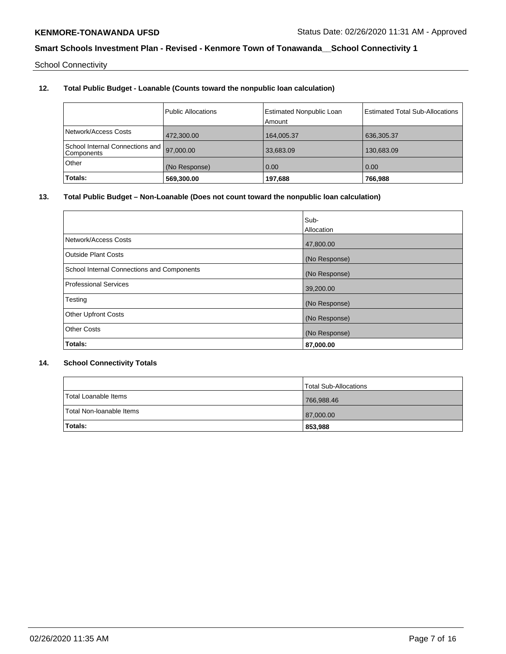School Connectivity

# **12. Total Public Budget - Loanable (Counts toward the nonpublic loan calculation)**

| Network/Access Costs                          | Public Allocations | <b>Estimated Nonpublic Loan</b><br>Amount | <b>Estimated Total Sub-Allocations</b> |
|-----------------------------------------------|--------------------|-------------------------------------------|----------------------------------------|
|                                               | 472.300.00         | 164.005.37                                | 636,305.37                             |
| School Internal Connections and<br>Components | 97,000.00          | 33,683.09                                 | 130,683.09                             |
| Other                                         | (No Response)      | 0.00                                      | 0.00                                   |
| Totals:                                       | 569,300.00         | 197,688                                   | 766,988                                |

## **13. Total Public Budget – Non-Loanable (Does not count toward the nonpublic loan calculation)**

|                                            | Sub-          |
|--------------------------------------------|---------------|
|                                            | Allocation    |
| Network/Access Costs                       | 47,800.00     |
| <b>Outside Plant Costs</b>                 | (No Response) |
| School Internal Connections and Components | (No Response) |
| <b>Professional Services</b>               | 39,200.00     |
| Testing                                    | (No Response) |
| <b>Other Upfront Costs</b>                 | (No Response) |
| <b>Other Costs</b>                         | (No Response) |
| Totals:                                    | 87,000.00     |

## **14. School Connectivity Totals**

|                          | <b>Total Sub-Allocations</b> |
|--------------------------|------------------------------|
| Total Loanable Items     | 766,988.46                   |
| Total Non-Ioanable Items | 87,000.00                    |
| <b>Totals:</b>           | 853,988                      |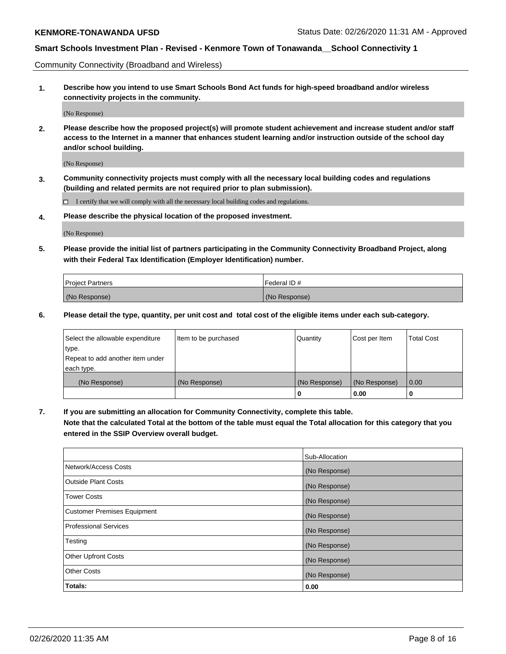Community Connectivity (Broadband and Wireless)

**1. Describe how you intend to use Smart Schools Bond Act funds for high-speed broadband and/or wireless connectivity projects in the community.**

(No Response)

**2. Please describe how the proposed project(s) will promote student achievement and increase student and/or staff access to the Internet in a manner that enhances student learning and/or instruction outside of the school day and/or school building.**

(No Response)

**3. Community connectivity projects must comply with all the necessary local building codes and regulations (building and related permits are not required prior to plan submission).**

 $\Box$  I certify that we will comply with all the necessary local building codes and regulations.

**4. Please describe the physical location of the proposed investment.**

(No Response)

**5. Please provide the initial list of partners participating in the Community Connectivity Broadband Project, along with their Federal Tax Identification (Employer Identification) number.**

| <b>Project Partners</b> | l Federal ID # |
|-------------------------|----------------|
| (No Response)           | (No Response)  |

**6. Please detail the type, quantity, per unit cost and total cost of the eligible items under each sub-category.**

| Select the allowable expenditure | Item to be purchased | Quantity      | Cost per Item | <b>Total Cost</b> |
|----------------------------------|----------------------|---------------|---------------|-------------------|
| type.                            |                      |               |               |                   |
| Repeat to add another item under |                      |               |               |                   |
| each type.                       |                      |               |               |                   |
| (No Response)                    | (No Response)        | (No Response) | (No Response) | 0.00              |
|                                  |                      | U             | 0.00          | -0                |

**7. If you are submitting an allocation for Community Connectivity, complete this table.**

**Note that the calculated Total at the bottom of the table must equal the Total allocation for this category that you entered in the SSIP Overview overall budget.**

|                                    | Sub-Allocation |
|------------------------------------|----------------|
| Network/Access Costs               | (No Response)  |
| Outside Plant Costs                | (No Response)  |
| <b>Tower Costs</b>                 | (No Response)  |
| <b>Customer Premises Equipment</b> | (No Response)  |
| <b>Professional Services</b>       | (No Response)  |
| Testing                            | (No Response)  |
| <b>Other Upfront Costs</b>         | (No Response)  |
| <b>Other Costs</b>                 | (No Response)  |
| Totals:                            | 0.00           |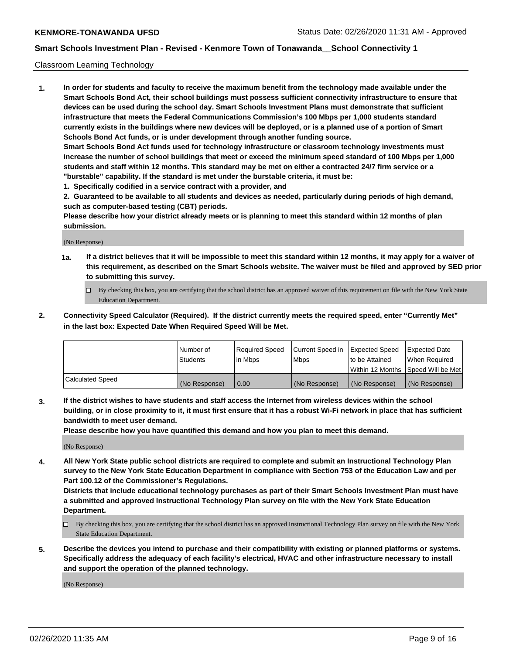#### Classroom Learning Technology

**1. In order for students and faculty to receive the maximum benefit from the technology made available under the Smart Schools Bond Act, their school buildings must possess sufficient connectivity infrastructure to ensure that devices can be used during the school day. Smart Schools Investment Plans must demonstrate that sufficient infrastructure that meets the Federal Communications Commission's 100 Mbps per 1,000 students standard currently exists in the buildings where new devices will be deployed, or is a planned use of a portion of Smart Schools Bond Act funds, or is under development through another funding source. Smart Schools Bond Act funds used for technology infrastructure or classroom technology investments must increase the number of school buildings that meet or exceed the minimum speed standard of 100 Mbps per 1,000 students and staff within 12 months. This standard may be met on either a contracted 24/7 firm service or a**

- **"burstable" capability. If the standard is met under the burstable criteria, it must be:**
- **1. Specifically codified in a service contract with a provider, and**

**2. Guaranteed to be available to all students and devices as needed, particularly during periods of high demand, such as computer-based testing (CBT) periods.**

**Please describe how your district already meets or is planning to meet this standard within 12 months of plan submission.**

(No Response)

- **1a. If a district believes that it will be impossible to meet this standard within 12 months, it may apply for a waiver of this requirement, as described on the Smart Schools website. The waiver must be filed and approved by SED prior to submitting this survey.**
	- By checking this box, you are certifying that the school district has an approved waiver of this requirement on file with the New York State Education Department.
- **2. Connectivity Speed Calculator (Required). If the district currently meets the required speed, enter "Currently Met" in the last box: Expected Date When Required Speed Will be Met.**

|                  | l Number of     | Required Speed | Current Speed in | <b>Expected Speed</b> | <b>Expected Date</b>                |
|------------------|-----------------|----------------|------------------|-----------------------|-------------------------------------|
|                  | <b>Students</b> | l in Mbps      | l Mbps           | to be Attained        | When Required                       |
|                  |                 |                |                  |                       | Within 12 Months  Speed Will be Met |
| Calculated Speed | (No Response)   | 0.00           | (No Response)    | l (No Response)       | (No Response)                       |

**3. If the district wishes to have students and staff access the Internet from wireless devices within the school building, or in close proximity to it, it must first ensure that it has a robust Wi-Fi network in place that has sufficient bandwidth to meet user demand.**

**Please describe how you have quantified this demand and how you plan to meet this demand.**

(No Response)

**4. All New York State public school districts are required to complete and submit an Instructional Technology Plan survey to the New York State Education Department in compliance with Section 753 of the Education Law and per Part 100.12 of the Commissioner's Regulations.**

**Districts that include educational technology purchases as part of their Smart Schools Investment Plan must have a submitted and approved Instructional Technology Plan survey on file with the New York State Education Department.**

- By checking this box, you are certifying that the school district has an approved Instructional Technology Plan survey on file with the New York State Education Department.
- **5. Describe the devices you intend to purchase and their compatibility with existing or planned platforms or systems. Specifically address the adequacy of each facility's electrical, HVAC and other infrastructure necessary to install and support the operation of the planned technology.**

(No Response)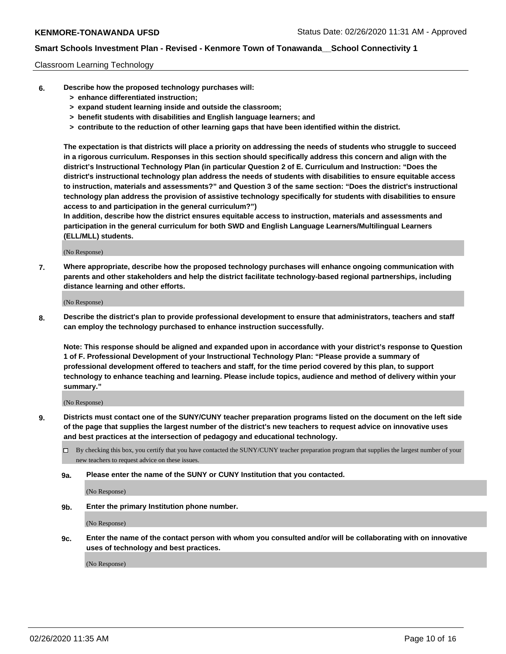#### Classroom Learning Technology

- **6. Describe how the proposed technology purchases will:**
	- **> enhance differentiated instruction;**
	- **> expand student learning inside and outside the classroom;**
	- **> benefit students with disabilities and English language learners; and**
	- **> contribute to the reduction of other learning gaps that have been identified within the district.**

**The expectation is that districts will place a priority on addressing the needs of students who struggle to succeed in a rigorous curriculum. Responses in this section should specifically address this concern and align with the district's Instructional Technology Plan (in particular Question 2 of E. Curriculum and Instruction: "Does the district's instructional technology plan address the needs of students with disabilities to ensure equitable access to instruction, materials and assessments?" and Question 3 of the same section: "Does the district's instructional technology plan address the provision of assistive technology specifically for students with disabilities to ensure access to and participation in the general curriculum?")**

**In addition, describe how the district ensures equitable access to instruction, materials and assessments and participation in the general curriculum for both SWD and English Language Learners/Multilingual Learners (ELL/MLL) students.**

(No Response)

**7. Where appropriate, describe how the proposed technology purchases will enhance ongoing communication with parents and other stakeholders and help the district facilitate technology-based regional partnerships, including distance learning and other efforts.**

(No Response)

**8. Describe the district's plan to provide professional development to ensure that administrators, teachers and staff can employ the technology purchased to enhance instruction successfully.**

**Note: This response should be aligned and expanded upon in accordance with your district's response to Question 1 of F. Professional Development of your Instructional Technology Plan: "Please provide a summary of professional development offered to teachers and staff, for the time period covered by this plan, to support technology to enhance teaching and learning. Please include topics, audience and method of delivery within your summary."**

(No Response)

- **9. Districts must contact one of the SUNY/CUNY teacher preparation programs listed on the document on the left side of the page that supplies the largest number of the district's new teachers to request advice on innovative uses and best practices at the intersection of pedagogy and educational technology.**
	- By checking this box, you certify that you have contacted the SUNY/CUNY teacher preparation program that supplies the largest number of your new teachers to request advice on these issues.
	- **9a. Please enter the name of the SUNY or CUNY Institution that you contacted.**

(No Response)

**9b. Enter the primary Institution phone number.**

(No Response)

**9c. Enter the name of the contact person with whom you consulted and/or will be collaborating with on innovative uses of technology and best practices.**

(No Response)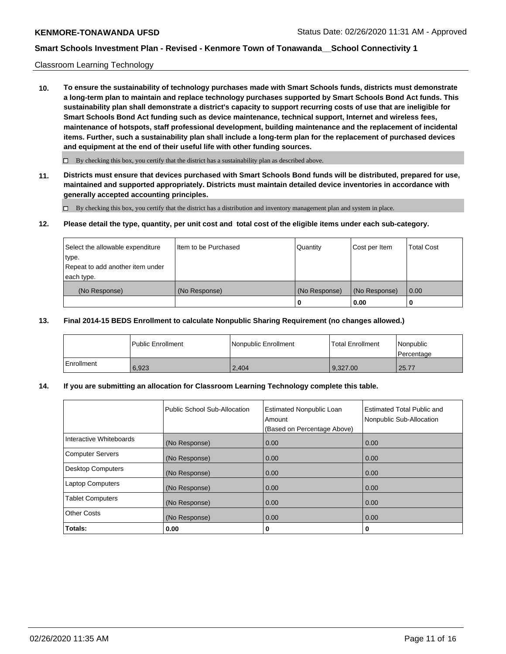#### Classroom Learning Technology

**10. To ensure the sustainability of technology purchases made with Smart Schools funds, districts must demonstrate a long-term plan to maintain and replace technology purchases supported by Smart Schools Bond Act funds. This sustainability plan shall demonstrate a district's capacity to support recurring costs of use that are ineligible for Smart Schools Bond Act funding such as device maintenance, technical support, Internet and wireless fees, maintenance of hotspots, staff professional development, building maintenance and the replacement of incidental items. Further, such a sustainability plan shall include a long-term plan for the replacement of purchased devices and equipment at the end of their useful life with other funding sources.**

 $\Box$  By checking this box, you certify that the district has a sustainability plan as described above.

**11. Districts must ensure that devices purchased with Smart Schools Bond funds will be distributed, prepared for use, maintained and supported appropriately. Districts must maintain detailed device inventories in accordance with generally accepted accounting principles.**

By checking this box, you certify that the district has a distribution and inventory management plan and system in place.

#### **12. Please detail the type, quantity, per unit cost and total cost of the eligible items under each sub-category.**

| Select the allowable expenditure<br>type.<br>Repeat to add another item under | Item to be Purchased | Quantity      | Cost per Item | <b>Total Cost</b> |
|-------------------------------------------------------------------------------|----------------------|---------------|---------------|-------------------|
| each type.<br>(No Response)                                                   | (No Response)        | (No Response) | (No Response) | 0.00              |
|                                                                               |                      | 0             | 0.00          |                   |

#### **13. Final 2014-15 BEDS Enrollment to calculate Nonpublic Sharing Requirement (no changes allowed.)**

|              | l Public Enrollment | Nonpublic Enrollment | <b>Total Enrollment</b> | Nonpublic<br>l Percentage |
|--------------|---------------------|----------------------|-------------------------|---------------------------|
| l Enrollment | 6.923               | 2.404                | 9.327.00                | 25.77                     |

## **14. If you are submitting an allocation for Classroom Learning Technology complete this table.**

|                         | Public School Sub-Allocation | <b>Estimated Nonpublic Loan</b><br>Amount<br>(Based on Percentage Above) | Estimated Total Public and<br>Nonpublic Sub-Allocation |
|-------------------------|------------------------------|--------------------------------------------------------------------------|--------------------------------------------------------|
| Interactive Whiteboards | (No Response)                | 0.00                                                                     | 0.00                                                   |
| Computer Servers        | (No Response)                | 0.00                                                                     | 0.00                                                   |
| Desktop Computers       | (No Response)                | 0.00                                                                     | 0.00                                                   |
| <b>Laptop Computers</b> | (No Response)                | 0.00                                                                     | 0.00                                                   |
| <b>Tablet Computers</b> | (No Response)                | 0.00                                                                     | 0.00                                                   |
| Other Costs             | (No Response)                | 0.00                                                                     | 0.00                                                   |
| Totals:                 | 0.00                         | 0                                                                        | 0                                                      |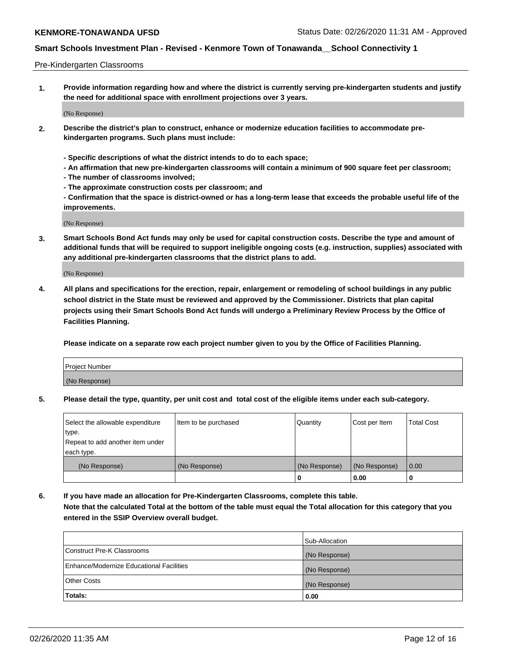#### Pre-Kindergarten Classrooms

**1. Provide information regarding how and where the district is currently serving pre-kindergarten students and justify the need for additional space with enrollment projections over 3 years.**

(No Response)

- **2. Describe the district's plan to construct, enhance or modernize education facilities to accommodate prekindergarten programs. Such plans must include:**
	- **Specific descriptions of what the district intends to do to each space;**
	- **An affirmation that new pre-kindergarten classrooms will contain a minimum of 900 square feet per classroom;**
	- **The number of classrooms involved;**
	- **The approximate construction costs per classroom; and**
	- **Confirmation that the space is district-owned or has a long-term lease that exceeds the probable useful life of the improvements.**

(No Response)

**3. Smart Schools Bond Act funds may only be used for capital construction costs. Describe the type and amount of additional funds that will be required to support ineligible ongoing costs (e.g. instruction, supplies) associated with any additional pre-kindergarten classrooms that the district plans to add.**

(No Response)

**4. All plans and specifications for the erection, repair, enlargement or remodeling of school buildings in any public school district in the State must be reviewed and approved by the Commissioner. Districts that plan capital projects using their Smart Schools Bond Act funds will undergo a Preliminary Review Process by the Office of Facilities Planning.**

**Please indicate on a separate row each project number given to you by the Office of Facilities Planning.**

| Project Number |  |
|----------------|--|
| (No Response)  |  |
|                |  |

**5. Please detail the type, quantity, per unit cost and total cost of the eligible items under each sub-category.**

| Select the allowable expenditure | Item to be purchased | Quantity      | Cost per Item | <b>Total Cost</b> |
|----------------------------------|----------------------|---------------|---------------|-------------------|
| type.                            |                      |               |               |                   |
| Repeat to add another item under |                      |               |               |                   |
| each type.                       |                      |               |               |                   |
| (No Response)                    | (No Response)        | (No Response) | (No Response) | 0.00              |
|                                  |                      | o             | 0.00          | u                 |

**6. If you have made an allocation for Pre-Kindergarten Classrooms, complete this table. Note that the calculated Total at the bottom of the table must equal the Total allocation for this category that you entered in the SSIP Overview overall budget.**

| Totals:                                  | 0.00           |
|------------------------------------------|----------------|
| <b>Other Costs</b>                       | (No Response)  |
| Enhance/Modernize Educational Facilities | (No Response)  |
| Construct Pre-K Classrooms               | (No Response)  |
|                                          | Sub-Allocation |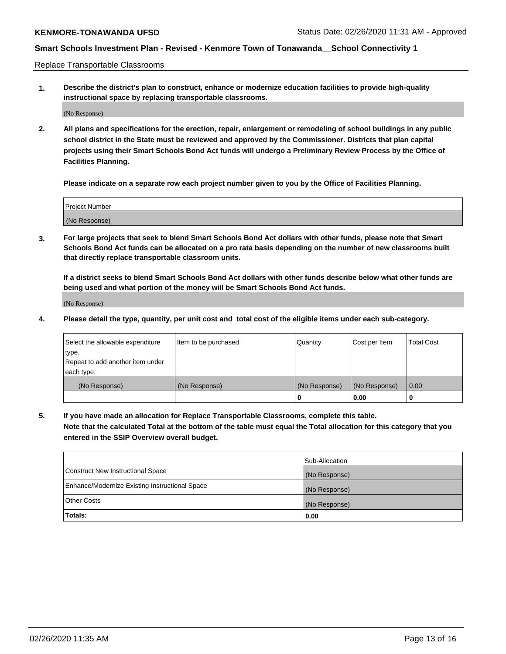Replace Transportable Classrooms

**1. Describe the district's plan to construct, enhance or modernize education facilities to provide high-quality instructional space by replacing transportable classrooms.**

(No Response)

**2. All plans and specifications for the erection, repair, enlargement or remodeling of school buildings in any public school district in the State must be reviewed and approved by the Commissioner. Districts that plan capital projects using their Smart Schools Bond Act funds will undergo a Preliminary Review Process by the Office of Facilities Planning.**

**Please indicate on a separate row each project number given to you by the Office of Facilities Planning.**

| Project Number |  |
|----------------|--|
|                |  |
| (No Response)  |  |

**3. For large projects that seek to blend Smart Schools Bond Act dollars with other funds, please note that Smart Schools Bond Act funds can be allocated on a pro rata basis depending on the number of new classrooms built that directly replace transportable classroom units.**

**If a district seeks to blend Smart Schools Bond Act dollars with other funds describe below what other funds are being used and what portion of the money will be Smart Schools Bond Act funds.**

(No Response)

**4. Please detail the type, quantity, per unit cost and total cost of the eligible items under each sub-category.**

| Select the allowable expenditure | Item to be purchased | Quantity      | Cost per Item | Total Cost |
|----------------------------------|----------------------|---------------|---------------|------------|
| ∣type.                           |                      |               |               |            |
| Repeat to add another item under |                      |               |               |            |
| each type.                       |                      |               |               |            |
| (No Response)                    | (No Response)        | (No Response) | (No Response) | 0.00       |
|                                  |                      | u             | 0.00          |            |

**5. If you have made an allocation for Replace Transportable Classrooms, complete this table. Note that the calculated Total at the bottom of the table must equal the Total allocation for this category that you entered in the SSIP Overview overall budget.**

|                                                | Sub-Allocation |
|------------------------------------------------|----------------|
| Construct New Instructional Space              | (No Response)  |
| Enhance/Modernize Existing Instructional Space | (No Response)  |
| <b>Other Costs</b>                             | (No Response)  |
| Totals:                                        | 0.00           |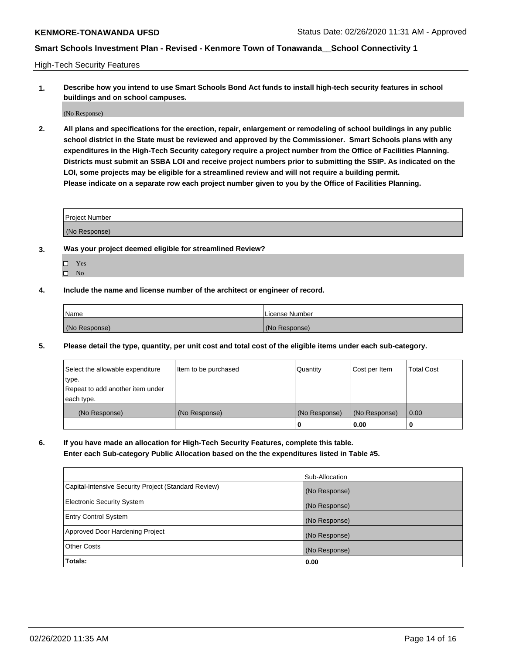High-Tech Security Features

**1. Describe how you intend to use Smart Schools Bond Act funds to install high-tech security features in school buildings and on school campuses.**

(No Response)

**2. All plans and specifications for the erection, repair, enlargement or remodeling of school buildings in any public school district in the State must be reviewed and approved by the Commissioner. Smart Schools plans with any expenditures in the High-Tech Security category require a project number from the Office of Facilities Planning. Districts must submit an SSBA LOI and receive project numbers prior to submitting the SSIP. As indicated on the LOI, some projects may be eligible for a streamlined review and will not require a building permit. Please indicate on a separate row each project number given to you by the Office of Facilities Planning.**

| <b>Project Number</b> |  |
|-----------------------|--|
| (No Response)         |  |

- **3. Was your project deemed eligible for streamlined Review?**
	- Yes
	- $\hfill \square$  No
- **4. Include the name and license number of the architect or engineer of record.**

| Name          | License Number |
|---------------|----------------|
| (No Response) | (No Response)  |

**5. Please detail the type, quantity, per unit cost and total cost of the eligible items under each sub-category.**

| Select the allowable expenditure | Item to be purchased | Quantity      | Cost per Item | <b>Total Cost</b> |
|----------------------------------|----------------------|---------------|---------------|-------------------|
| 'type.                           |                      |               |               |                   |
| Repeat to add another item under |                      |               |               |                   |
| each type.                       |                      |               |               |                   |
| (No Response)                    | (No Response)        | (No Response) | (No Response) | 0.00              |
|                                  |                      | U             | 0.00          |                   |

**6. If you have made an allocation for High-Tech Security Features, complete this table.**

**Enter each Sub-category Public Allocation based on the the expenditures listed in Table #5.**

|                                                      | Sub-Allocation |
|------------------------------------------------------|----------------|
| Capital-Intensive Security Project (Standard Review) | (No Response)  |
| <b>Electronic Security System</b>                    | (No Response)  |
| <b>Entry Control System</b>                          | (No Response)  |
| Approved Door Hardening Project                      | (No Response)  |
| <b>Other Costs</b>                                   | (No Response)  |
| Totals:                                              | 0.00           |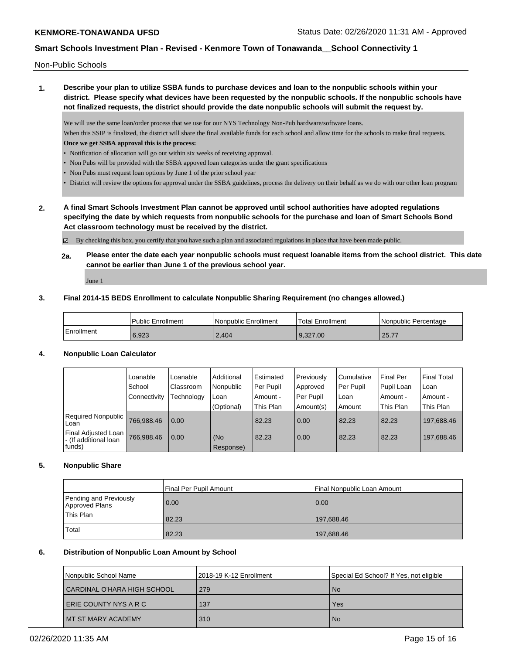Non-Public Schools

**1. Describe your plan to utilize SSBA funds to purchase devices and loan to the nonpublic schools within your district. Please specify what devices have been requested by the nonpublic schools. If the nonpublic schools have not finalized requests, the district should provide the date nonpublic schools will submit the request by.**

We will use the same loan/order process that we use for our NYS Technology Non-Pub hardware/software loans.

When this SSIP is finalized, the district will share the final available funds for each school and allow time for the schools to make final requests. **Once we get SSBA approval this is the process:**

- Notification of allocation will go out within six weeks of receiving approval.
- Non Pubs will be provided with the SSBA appoved loan categories under the grant specifications
- Non Pubs must request loan options by June 1 of the prior school year
- District will review the options for approval under the SSBA guidelines, process the delivery on their behalf as we do with our other loan program
- **2. A final Smart Schools Investment Plan cannot be approved until school authorities have adopted regulations specifying the date by which requests from nonpublic schools for the purchase and loan of Smart Schools Bond Act classroom technology must be received by the district.**

By checking this box, you certify that you have such a plan and associated regulations in place that have been made public.

**2a. Please enter the date each year nonpublic schools must request loanable items from the school district. This date cannot be earlier than June 1 of the previous school year.**

June 1

## **3. Final 2014-15 BEDS Enrollment to calculate Nonpublic Sharing Requirement (no changes allowed.)**

|            | l Public Enrollment | l Nonpublic Enrollment | <b>Total Enrollment</b> | Nonpublic Percentage |
|------------|---------------------|------------------------|-------------------------|----------------------|
| Enrollment | 6,923               | 2.404                  | 9.327.00                | 25.77                |

## **4. Nonpublic Loan Calculator**

|                                                         | Loanable     | Loanable   | Additional       | Estimated   | Previously | Cumulative | <b>Final Per</b> | <b>Final Total</b> |
|---------------------------------------------------------|--------------|------------|------------------|-------------|------------|------------|------------------|--------------------|
|                                                         | School       | Classroom  | Nonpublic        | l Per Pupil | Approved   | Per Pupil  | Pupil Loan       | Loan               |
|                                                         | Connectivity | Technology | Loan             | Amount -    | Per Pupil  | Loan       | Amount -         | Amount -           |
|                                                         |              |            | (Optional)       | This Plan   | Amount(s)  | Amount     | This Plan        | This Plan          |
| Required Nonpublic<br>Loan                              | 766,988.46   | 0.00       |                  | 82.23       | 0.00       | 82.23      | 82.23            | 197,688.46         |
| Final Adjusted Loan<br>I- (If additional loan<br>funds) | 766,988.46   | 0.00       | (No<br>Response) | 82.23       | 0.00       | 82.23      | 82.23            | 197.688.46         |

## **5. Nonpublic Share**

|                                          | Final Per Pupil Amount | Final Nonpublic Loan Amount |
|------------------------------------------|------------------------|-----------------------------|
| Pending and Previously<br>Approved Plans | 0.00                   | 0.00                        |
| This Plan                                | 82.23                  | 197,688.46                  |
| <b>Total</b>                             | 82.23                  | 197,688.46                  |

## **6. Distribution of Nonpublic Loan Amount by School**

| Nonpublic School Name         | 12018-19 K-12 Enrollment | Special Ed School? If Yes, not eligible |
|-------------------------------|--------------------------|-----------------------------------------|
| CARDINAL O'HARA HIGH SCHOOL   | l 279                    | <b>No</b>                               |
| <b>LERIE COUNTY NYS A R C</b> | 137                      | Yes                                     |
| MT ST MARY ACADEMY            | 310                      | <b>No</b>                               |